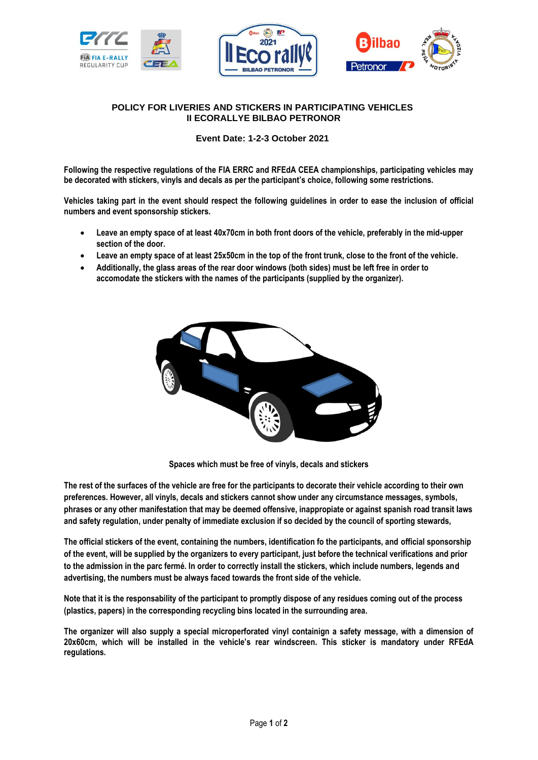





## **POLICY FOR LIVERIES AND STICKERS IN PARTICIPATING VEHICLES II ECORALLYE BILBAO PETRONOR**

**Event Date: 1-2-3 October 2021**

**Following the respective regulations of the FIA ERRC and RFEdA CEEA championships, participating vehicles may be decorated with stickers, vinyls and decals as per the participant's choice, following some restrictions.**

**Vehicles taking part in the event should respect the following guidelines in order to ease the inclusion of official numbers and event sponsorship stickers.**

- **Leave an empty space of at least 40x70cm in both front doors of the vehicle, preferably in the mid-upper section of the door.**
- **Leave an empty space of at least 25x50cm in the top of the front trunk, close to the front of the vehicle.**
- **Additionally, the glass areas of the rear door windows (both sides) must be left free in order to accomodate the stickers with the names of the participants (supplied by the organizer).**



**Spaces which must be free of vinyls, decals and stickers**

**The rest of the surfaces of the vehicle are free for the participants to decorate their vehicle according to their own preferences. However, all vinyls, decals and stickers cannot show under any circumstance messages, symbols, phrases or any other manifestation that may be deemed offensive, inappropiate or against spanish road transit laws and safety regulation, under penalty of immediate exclusion if so decided by the council of sporting stewards,** 

**The official stickers of the event, containing the numbers, identification fo the participants, and official sponsorship of the event, will be supplied by the organizers to every participant, just before the technical verifications and prior to the admission in the parc fermé. In order to correctly install the stickers, which include numbers, legends and advertising, the numbers must be always faced towards the front side of the vehicle.**

**Note that it is the responsability of the participant to promptly dispose of any residues coming out of the process (plastics, papers) in the corresponding recycling bins located in the surrounding area.**

**The organizer will also supply a special microperforated vinyl containign a safety message, with a dimension of 20x60cm, which will be installed in the vehicle's rear windscreen. This sticker is mandatory under RFEdA regulations.**